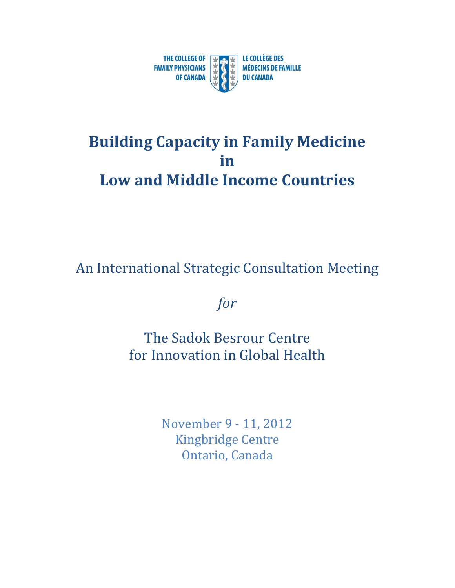

## **Building Capacity in Family Medicine in Low and Middle Income Countries**

An International Strategic Consultation Meeting

*for*

The Sadok Besrour Centre for Innovation in Global Health

> November 9 - 11, 2012 Kingbridge Centre Ontario, Canada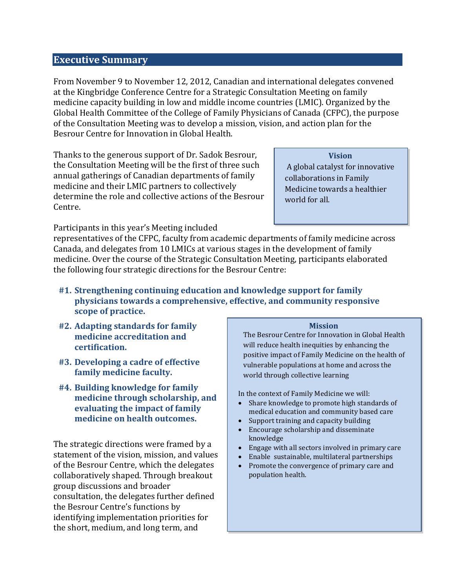## **Executive Summary**

From November 9 to November 12, 2012, Canadian and international delegates convened at the Kingbridge Conference Centre for a Strategic Consultation Meeting on family medicine capacity building in low and middle income countries (LMIC). Organized by the Global Health Committee of the College of Family Physicians of Canada (CFPC), the purpose of the Consultation Meeting was to develop a mission, vision, and action plan for the Besrour Centre for Innovation in Global Health.

Thanks to the generous support of Dr. Sadok Besrour, the Consultation Meeting will be the first of three such annual gatherings of Canadian departments of family medicine and their LMIC partners to collectively determine the role and collective actions of the Besrour Centre.

**Vision**

A global catalyst for innovative collaborations in Family Medicine towards a healthier world for all.

Participants in this year's Meeting included

representatives of the CFPC, faculty from academic departments of family medicine across Canada, and delegates from 10 LMICs at various stages in the development of family medicine. Over the course of the Strategic Consultation Meeting, participants elaborated the following four strategic directions for the Besrour Centre:

- **#1. Strengthening continuing education and knowledge support for family physicians towards a comprehensive, effective, and community responsive scope of practice.**
- **#2. Adapting standards for family medicine accreditation and certification.**
- **#3. Developing a cadre of effective family medicine faculty.**
- **#4. Building knowledge for family medicine through scholarship, and evaluating the impact of family medicine on health outcomes.**

The strategic directions were framed by a statement of the vision, mission, and values of the Besrour Centre, which the delegates collaboratively shaped. Through breakout group discussions and broader consultation, the delegates further defined the Besrour Centre's functions by identifying implementation priorities for the short, medium, and long term, and

## **Mission**

The Besrour Centre for Innovation in Global Health will reduce health inequities by enhancing the positive impact of Family Medicine on the health of vulnerable populations at home and across the world through collective learning

In the context of Family Medicine we will:

- Share knowledge to promote high standards of medical education and community based care
- Support training and capacity building
- Encourage scholarship and disseminate knowledge
- Engage with all sectors involved in primary care
- Enable sustainable, multilateral partnerships
- Promote the convergence of primary care and population health.